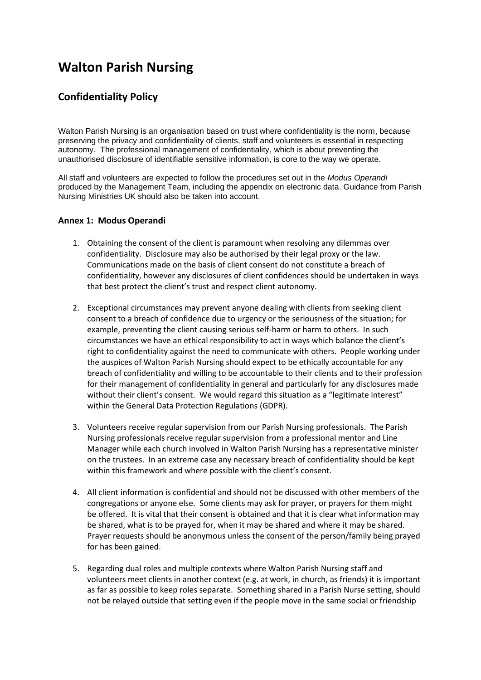# **Walton Parish Nursing**

## **Confidentiality Policy**

Walton Parish Nursing is an organisation based on trust where confidentiality is the norm, because preserving the privacy and confidentiality of clients, staff and volunteers is essential in respecting autonomy. The professional management of confidentiality, which is about preventing the unauthorised disclosure of identifiable sensitive information, is core to the way we operate.

All staff and volunteers are expected to follow the procedures set out in the *Modus Operandi* produced by the Management Team, including the appendix on electronic data. Guidance from Parish Nursing Ministries UK should also be taken into account.

#### **Annex 1: Modus Operandi**

- 1. Obtaining the consent of the client is paramount when resolving any dilemmas over confidentiality. Disclosure may also be authorised by their legal proxy or the law. Communications made on the basis of client consent do not constitute a breach of confidentiality, however any disclosures of client confidences should be undertaken in ways that best protect the client's trust and respect client autonomy.
- 2. Exceptional circumstances may prevent anyone dealing with clients from seeking client consent to a breach of confidence due to urgency or the seriousness of the situation; for example, preventing the client causing serious self-harm or harm to others. In such circumstances we have an ethical responsibility to act in ways which balance the client's right to confidentiality against the need to communicate with others. People working under the auspices of Walton Parish Nursing should expect to be ethically accountable for any breach of confidentiality and willing to be accountable to their clients and to their profession for their management of confidentiality in general and particularly for any disclosures made without their client's consent. We would regard this situation as a "legitimate interest" within the General Data Protection Regulations (GDPR).
- 3. Volunteers receive regular supervision from our Parish Nursing professionals. The Parish Nursing professionals receive regular supervision from a professional mentor and Line Manager while each church involved in Walton Parish Nursing has a representative minister on the trustees. In an extreme case any necessary breach of confidentiality should be kept within this framework and where possible with the client's consent.
- 4. All client information is confidential and should not be discussed with other members of the congregations or anyone else. Some clients may ask for prayer, or prayers for them might be offered. It is vital that their consent is obtained and that it is clear what information may be shared, what is to be prayed for, when it may be shared and where it may be shared. Prayer requests should be anonymous unless the consent of the person/family being prayed for has been gained.
- 5. Regarding dual roles and multiple contexts where Walton Parish Nursing staff and volunteers meet clients in another context (e.g. at work, in church, as friends) it is important as far as possible to keep roles separate. Something shared in a Parish Nurse setting, should not be relayed outside that setting even if the people move in the same social or friendship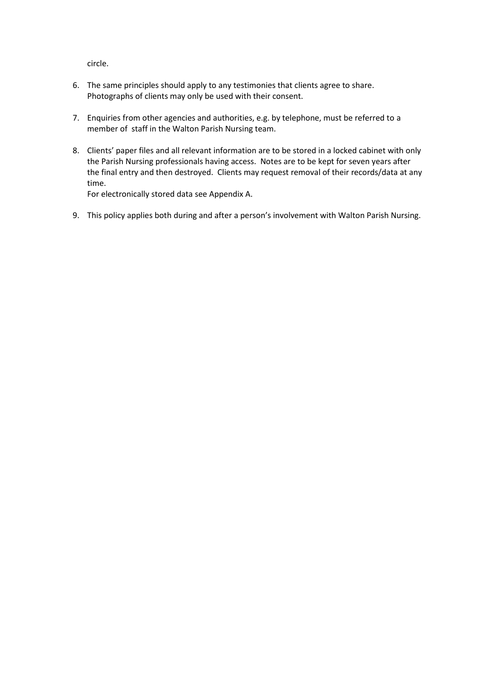circle.

- 6. The same principles should apply to any testimonies that clients agree to share. Photographs of clients may only be used with their consent.
- 7. Enquiries from other agencies and authorities, e.g. by telephone, must be referred to a member of staff in the Walton Parish Nursing team.
- 8. Clients' paper files and all relevant information are to be stored in a locked cabinet with only the Parish Nursing professionals having access. Notes are to be kept for seven years after the final entry and then destroyed. Clients may request removal of their records/data at any time.

For electronically stored data see Appendix A.

9. This policy applies both during and after a person's involvement with Walton Parish Nursing.